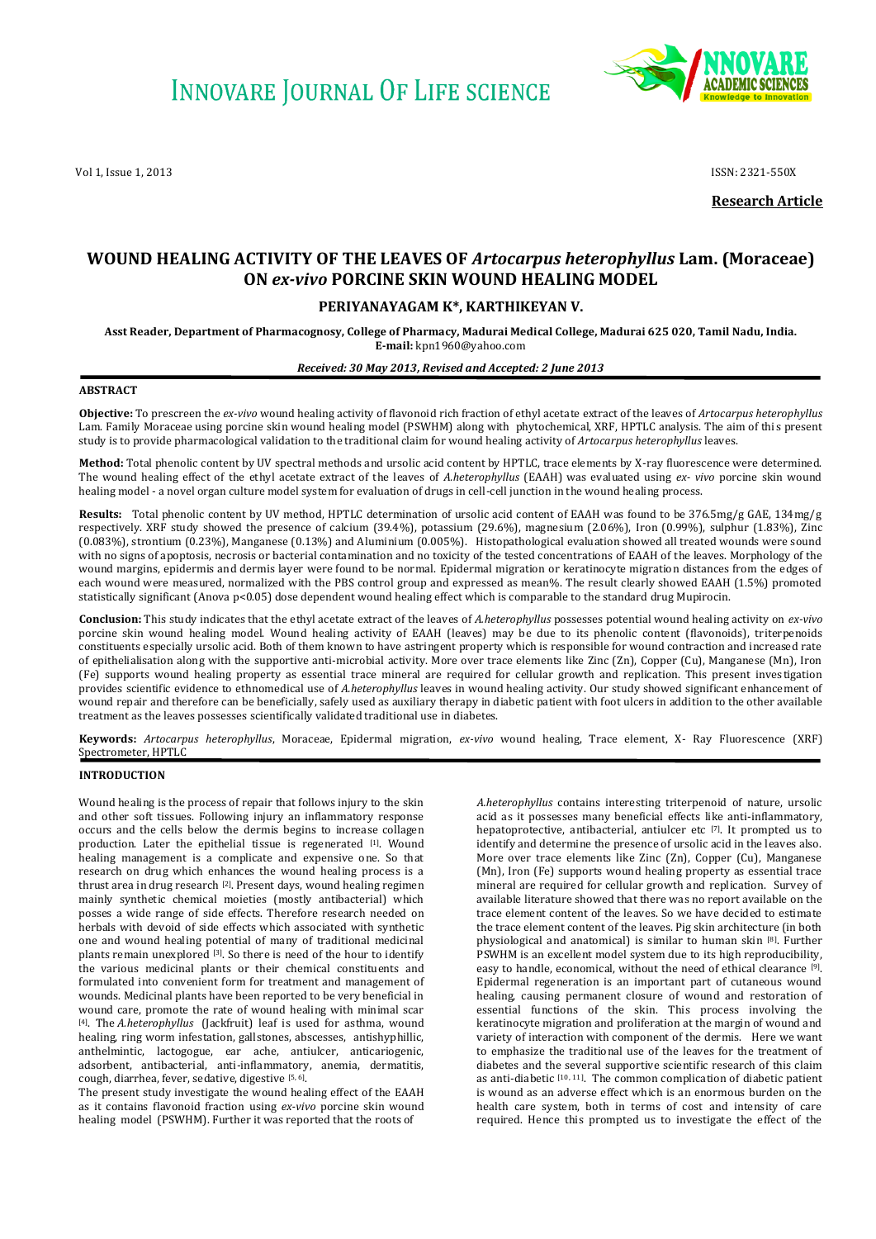Vol 1, Issue 1, 2013 **ISSN: 2321-550X ISSN: 2321-550X** 



**Research Article**

# **WOUND HEALING ACTIVITY OF THE LEAVES OF** *Artocarpus heterophyllus* **Lam. (Moraceae) ON** *ex-vivo* **PORCINE SKIN WOUND HEALING MODEL**

# **PERIYANAYAGAM K\*, KARTHIKEYAN V.**

**Asst Reader, Department of Pharmacognosy, College of Pharmacy, Madurai Medical College, Madurai 625 020, Tamil Nadu, India. E-mail:** kpn1960@yahoo.com

## *Received: 30 May 2013, Revised and Accepted: 2 June 2013*

### **ABSTRACT**

**Objective:** To prescreen the *ex-vivo* wound healing activity of flavonoid rich fraction of ethyl acetate extract of the leaves of *Artocarpus heterophyllus*  Lam. Family Moraceae using porcine skin wound healing model (PSWHM) along with phytochemical, XRF, HPTLC analysis. The aim of this present study is to provide pharmacological validation to the traditional claim for wound healing activity of *Artocarpus heterophyllus* leaves.

**Method:** Total phenolic content by UV spectral methods and ursolic acid content by HPTLC, trace elements by X-ray fluorescence were determined. The wound healing effect of the ethyl acetate extract of the leaves of *A.heterophyllus* (EAAH) was evaluated using *ex- vivo* porcine skin wound healing model - a novel organ culture model system for evaluation of drugs in cell-cell junction in the wound healing process.

**Results:** Total phenolic content by UV method, HPTLC determination of ursolic acid content of EAAH was found to be 376.5mg/g GAE, 134mg/g respectively. XRF study showed the presence of calcium (39.4%), potassium (29.6%), magnesium (2.06%), Iron (0.99%), sulphur (1.83%), Zinc (0.083%), strontium (0.23%), Manganese (0.13%) and Aluminium (0.005%). Histopathological evaluation showed all treated wounds were sound with no signs of apoptosis, necrosis or bacterial contamination and no toxicity of the tested concentrations of EAAH of the leaves. Morphology of the wound margins, epidermis and dermis layer were found to be normal. Epidermal migration or keratinocyte migration distances from the edges of each wound were measured, normalized with the PBS control group and expressed as mean%. The result clearly showed EAAH (1.5%) promoted statistically significant (Anova p<0.05) dose dependent wound healing effect which is comparable to the standard drug Mupirocin.

**Conclusion:** This study indicates that the ethyl acetate extract of the leaves of *A.heterophyllus* possesses potential wound healing activity on *ex-vivo*  porcine skin wound healing model. Wound healing activity of EAAH (leaves) may be due to its phenolic content (flavonoids), triterpenoids constituents especially ursolic acid. Both of them known to have astringent property which is responsible for wound contraction and increased rate of epithelialisation along with the supportive anti-microbial activity. More over trace elements like Zinc (Zn), Copper (Cu), Manganese (Mn), Iron (Fe) supports wound healing property as essential trace mineral are required for cellular growth and replication. This present inves tigation provides scientific evidence to ethnomedical use of *A.heterophyllus* leaves in wound healing activity. Our study showed significant enhancement of wound repair and therefore can be beneficially, safely used as auxiliary therapy in diabetic patient with foot ulcers in addition to the other available treatment as the leaves possesses scientifically validated traditional use in diabetes.

**Keywords:** *Artocarpus heterophyllus*, Moraceae, Epidermal migration, *ex-vivo* wound healing, Trace element, X- Ray Fluorescence (XRF) Spectrometer, HPTLC

#### **INTRODUCTION**

Wound healing is the process of repair that follows injury to the skin and other soft tissues. Following injury an inflammatory response occurs and the cells below the dermis begins to increase collagen production. Later the epithelial tissue is regenerated [1]. Wound healing management is a complicate and expensive one. So that research on drug which enhances the wound healing process is a thrust area in drug research [2]. Present days, wound healing regimen mainly synthetic chemical moieties (mostly antibacterial) which posses a wide range of side effects. Therefore research needed on herbals with devoid of side effects which associated with synthetic one and wound healing potential of many of traditional medicinal plants remain unexplored [3]. So there is need of the hour to identify the various medicinal plants or their chemical constituents and formulated into convenient form for treatment and management of wounds. Medicinal plants have been reported to be very beneficial in wound care, promote the rate of wound healing with minimal scar [4] . The *A.heterophyllus* (Jackfruit) leaf is used for asthma, wound healing, ring worm infestation, gallstones, abscesses, antishyphillic, anthelmintic, lactogogue, ear ache, antiulcer, anticariogenic, adsorbent, antibacterial, anti-inflammatory, anemia, dermatitis, cough, diarrhea, fever, sedative, digestive [5, 6].

The present study investigate the wound healing effect of the EAAH as it contains flavonoid fraction using *ex-vivo* porcine skin wound healing model (PSWHM). Further it was reported that the roots of

*A.heterophyllus* contains interesting triterpenoid of nature, ursolic acid as it possesses many beneficial effects like anti-inflammatory, hepatoprotective, antibacterial, antiulcer etc [7]. It prompted us to identify and determine the presence of ursolic acid in the leaves also. More over trace elements like Zinc (Zn), Copper (Cu), Manganese (Mn), Iron (Fe) supports wound healing property as essential trace mineral are required for cellular growth and replication. Survey of available literature showed that there was no report available on the trace element content of the leaves. So we have decided to estimate the trace element content of the leaves. Pig skin architecture (in both physiological and anatomical) is similar to human skin [8]. Further PSWHM is an excellent model system due to its high reproducibility, easy to handle, economical, without the need of ethical clearance [9] . Epidermal regeneration is an important part of cutaneous wound healing, causing permanent closure of wound and restoration of essential functions of the skin. This process involving the keratinocyte migration and proliferation at the margin of wound and variety of interaction with component of the dermis. Here we want to emphasize the traditional use of the leaves for the treatment of diabetes and the several supportive scientific research of this claim as anti-diabetic  $[10, 11]$ . The common complication of diabetic patient is wound as an adverse effect which is an enormous burden on the health care system, both in terms of cost and intensity of care required. Hence this prompted us to investigate the effect of the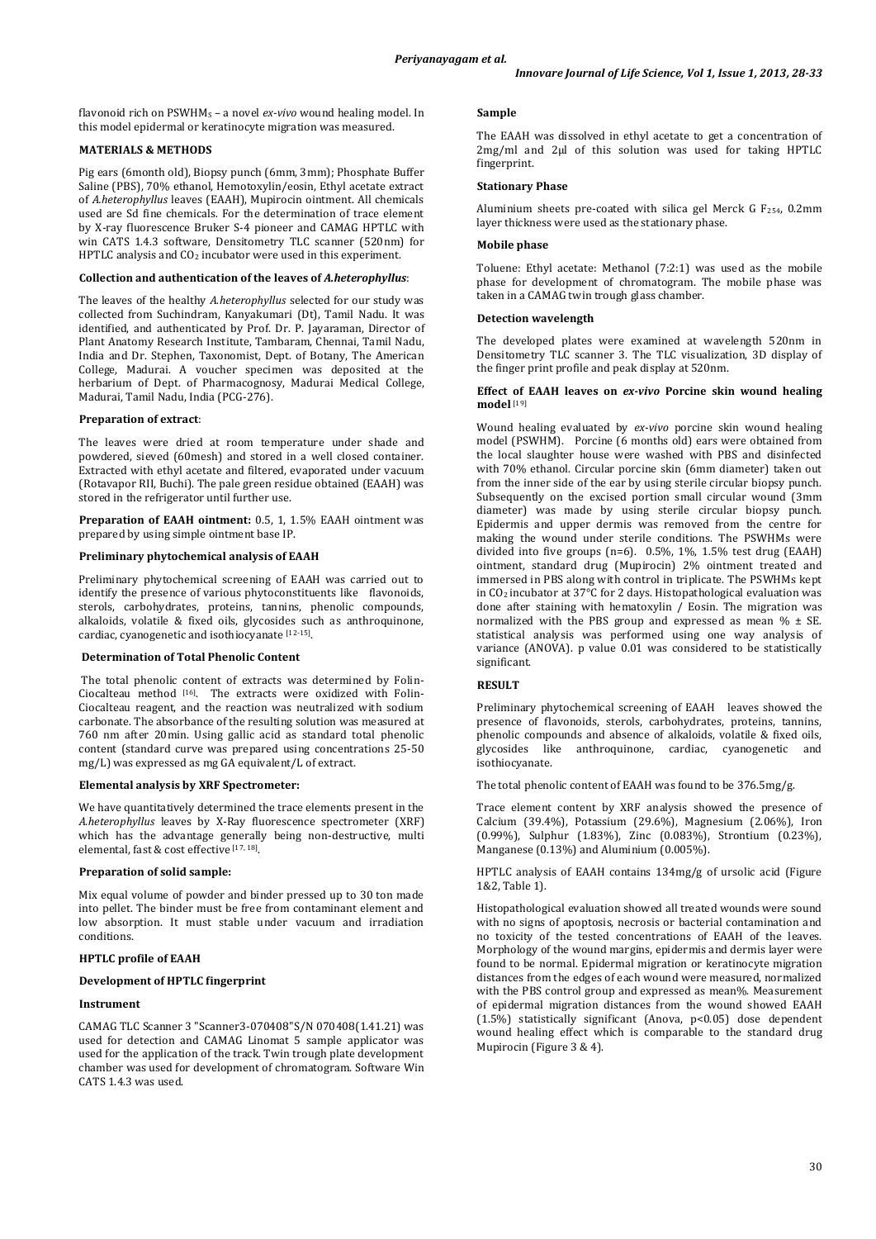flavonoid rich on PSWHM<sup>S</sup> – a novel *ex-vivo* wound healing model. In this model epidermal or keratinocyte migration was measured.

# **MATERIALS & METHODS**

Pig ears (6month old), Biopsy punch (6mm, 3mm); Phosphate Buffer Saline (PBS), 70% ethanol, Hemotoxylin/eosin, Ethyl acetate extract of *A.heterophyllus* leaves (EAAH), Mupirocin ointment. All chemicals used are Sd fine chemicals. For the determination of trace element by X-ray fluorescence Bruker S-4 pioneer and CAMAG HPTLC with win CATS 1.4.3 software, Densitometry TLC scanner (520nm) for HPTLC analysis and CO<sub>2</sub> incubator were used in this experiment.

# **Collection and authentication of the leaves of** *A.heterophyllus*:

The leaves of the healthy *A.heterophyllus* selected for our study was collected from Suchindram, Kanyakumari (Dt), Tamil Nadu. It was identified, and authenticated by Prof. Dr. P. Jayaraman, Director of Plant Anatomy Research Institute, Tambaram, Chennai, Tamil Nadu, India and Dr. Stephen, Taxonomist, Dept. of Botany, The American College, Madurai. A voucher specimen was deposited at the herbarium of Dept. of Pharmacognosy, Madurai Medical College, Madurai, Tamil Nadu, India (PCG-276).

#### **Preparation of extract**:

The leaves were dried at room temperature under shade and powdered, sieved (60mesh) and stored in a well closed container. Extracted with ethyl acetate and filtered, evaporated under vacuum (Rotavapor RII, Buchi). The pale green residue obtained (EAAH) was stored in the refrigerator until further use.

**Preparation of EAAH ointment:** 0.5, 1, 1.5% EAAH ointment was prepared by using simple ointment base IP.

## **Preliminary phytochemical analysis of EAAH**

Preliminary phytochemical screening of EAAH was carried out to identify the presence of various phytoconstituents like flavonoids, sterols, carbohydrates, proteins, tannins, phenolic compounds, alkaloids, volatile & fixed oils, glycosides such as anthroquinone, cardiac, cyanogenetic and isothiocyanate [12-15] .

# **Determination of Total Phenolic Content**

The total phenolic content of extracts was determined by Folin-Ciocalteau method <a>[16]</a>. The extracts were oxidized with Folin-Ciocalteau reagent, and the reaction was neutralized with sodium carbonate. The absorbance of the resulting solution was measured at 760 nm after 20min. Using gallic acid as standard total phenolic content (standard curve was prepared using concentrations 25-50 mg/L) was expressed as mg GA equivalent/L of extract.

# **Elemental analysis by XRF Spectrometer:**

We have quantitatively determined the trace elements present in the *A.heterophyllus* leaves by X-Ray fluorescence spectrometer (XRF) which has the advantage generally being non-destructive, multi elemental, fast & cost effective [17, 18] .

# **Preparation of solid sample:**

Mix equal volume of powder and binder pressed up to 30 ton made into pellet. The binder must be free from contaminant element and low absorption. It must stable under vacuum and irradiation conditions.

# **HPTLC profile of EAAH**

## **Development of HPTLC fingerprint**

## **Instrument**

CAMAG TLC Scanner 3 "Scanner3-070408"S/N 070408(1.41.21) was used for detection and CAMAG Linomat 5 sample applicator was used for the application of the track. Twin trough plate development chamber was used for development of chromatogram. Software Win CATS 1.4.3 was used.

#### **Sample**

The EAAH was dissolved in ethyl acetate to get a concentration of 2mg/ml and 2ul of this solution was used for taking HPTLC fingerprint.

# **Stationary Phase**

Aluminium sheets pre-coated with silica gel Merck G F254, 0.2mm layer thickness were used as the stationary phase.

#### **Mobile phase**

Toluene: Ethyl acetate: Methanol (7:2:1) was used as the mobile phase for development of chromatogram. The mobile phase was taken in a CAMAG twin trough glass chamber.

#### **Detection wavelength**

The developed plates were examined at wavelength 520nm in Densitometry TLC scanner 3. The TLC visualization, 3D display of the finger print profile and peak display at 520nm.

#### **Effect of EAAH leaves on** *ex-vivo* **Porcine skin wound healing model** [19]

Wound healing evaluated by *ex-vivo* porcine skin wound healing model (PSWHM). Porcine (6 months old) ears were obtained from the local slaughter house were washed with PBS and disinfected with 70% ethanol. Circular porcine skin (6mm diameter) taken out from the inner side of the ear by using sterile circular biopsy punch. Subsequently on the excised portion small circular wound (3mm) diameter) was made by using sterile circular biopsy punch. Epidermis and upper dermis was removed from the centre for making the wound under sterile conditions. The PSWHMs were divided into five groups (n=6). 0.5%, 1%, 1.5% test drug (EAAH) ointment, standard drug (Mupirocin) 2% ointment treated and immersed in PBS along with control in triplicate. The PSWHMs kept in CO2 incubator at 37°C for 2 days. Histopathological evaluation was done after staining with hematoxylin / Eosin. The migration was normalized with the PBS group and expressed as mean % ± SE. statistical analysis was performed using one way analysis of variance (ANOVA). p value 0.01 was considered to be statistically significant.

## **RESULT**

Preliminary phytochemical screening of EAAH leaves showed the presence of flavonoids, sterols, carbohydrates, proteins, tannins, phenolic compounds and absence of alkaloids, volatile & fixed oils, glycosides like anthroquinone, cardiac, cyanogenetic and isothiocyanate.

The total phenolic content of EAAH was found to be 376.5mg/g.

Trace element content by XRF analysis showed the presence of Calcium (39.4%), Potassium (29.6%), Magnesium (2.06%), Iron (0.99%), Sulphur (1.83%), Zinc (0.083%), Strontium (0.23%), Manganese (0.13%) and Aluminium (0.005%).

HPTLC analysis of EAAH contains 134mg/g of ursolic acid (Figure 1&2, Table 1).

Histopathological evaluation showed all treated wounds were sound with no signs of apoptosis, necrosis or bacterial contamination and no toxicity of the tested concentrations of EAAH of the leaves. Morphology of the wound margins, epidermis and dermis layer were found to be normal. Epidermal migration or keratinocyte migration distances from the edges of each wound were measured, normalized with the PBS control group and expressed as mean%. Measurement of epidermal migration distances from the wound showed EAAH (1.5%) statistically significant (Anova, p<0.05) dose dependent wound healing effect which is comparable to the standard drug Mupirocin (Figure 3 & 4).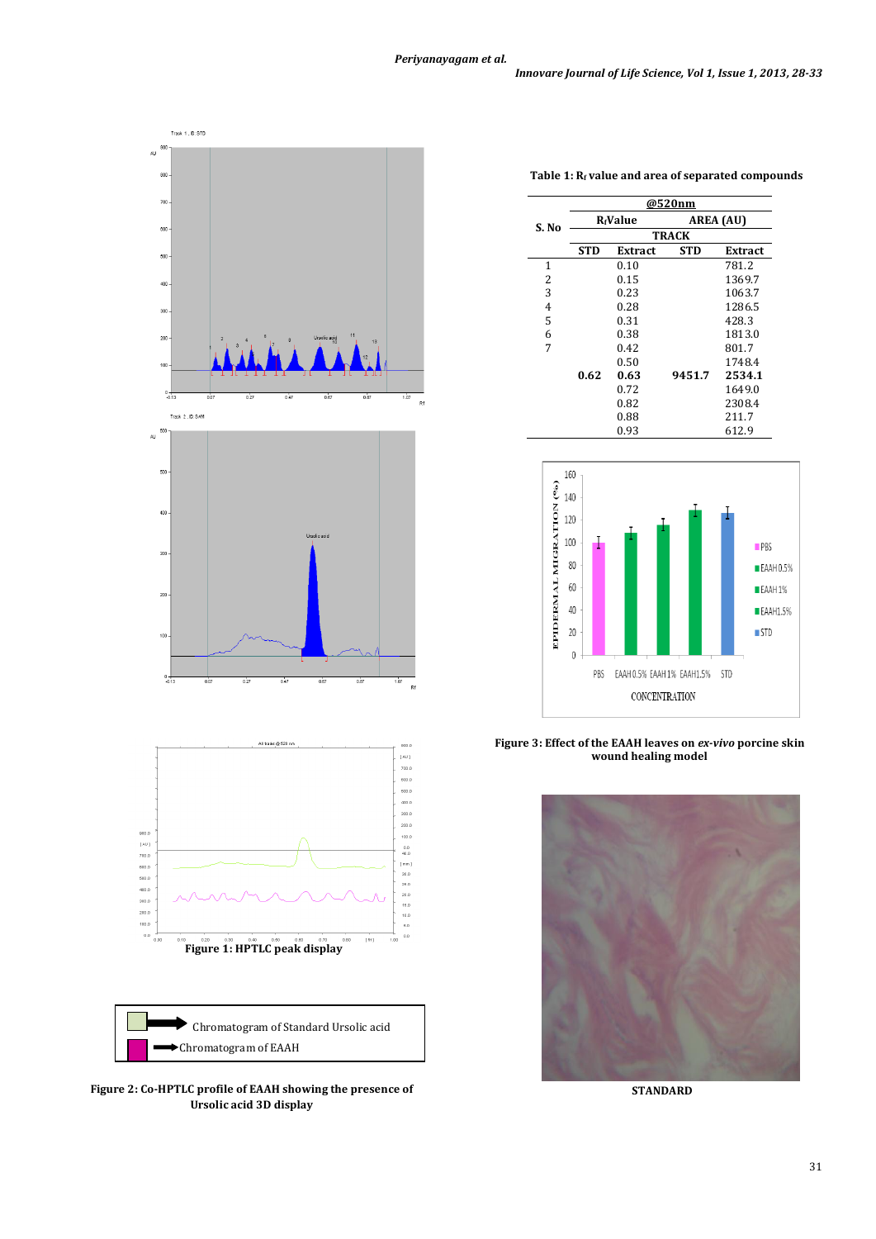

**Table 1: R<sup>f</sup> value and area of separated compounds**

|       | @520nm                      |                |            |         |
|-------|-----------------------------|----------------|------------|---------|
| S. No | <b>R</b> <sub>f</sub> Value |                | AREA (AU)  |         |
|       | <b>TRACK</b>                |                |            |         |
|       | <b>STD</b>                  | <b>Extract</b> | <b>STD</b> | Extract |
| 1     |                             | 0.10           |            | 781.2   |
| 2     |                             | 0.15           |            | 1369.7  |
| 3     |                             | 0.23           |            | 1063.7  |
| 4     |                             | 0.28           |            | 1286.5  |
| 5     |                             | 0.31           |            | 428.3   |
| 6     |                             | 0.38           |            | 1813.0  |
| 7     |                             | 0.42           |            | 801.7   |
|       |                             | 0.50           |            | 1748.4  |
|       | 0.62                        | 0.63           | 9451.7     | 2534.1  |
|       |                             | 0.72           |            | 1649.0  |
|       |                             | 0.82           |            | 2308.4  |
|       |                             | 0.88           |            | 211.7   |
|       |                             | 0.93           |            | 612.9   |



**Figure 3: Effect of the EAAH leaves on** *ex-vivo* **porcine skin wound healing model**



**STANDARD**

**Figure 2: Co-HPTLC profile of EAAH showing the presence of Ursolic acid 3D display**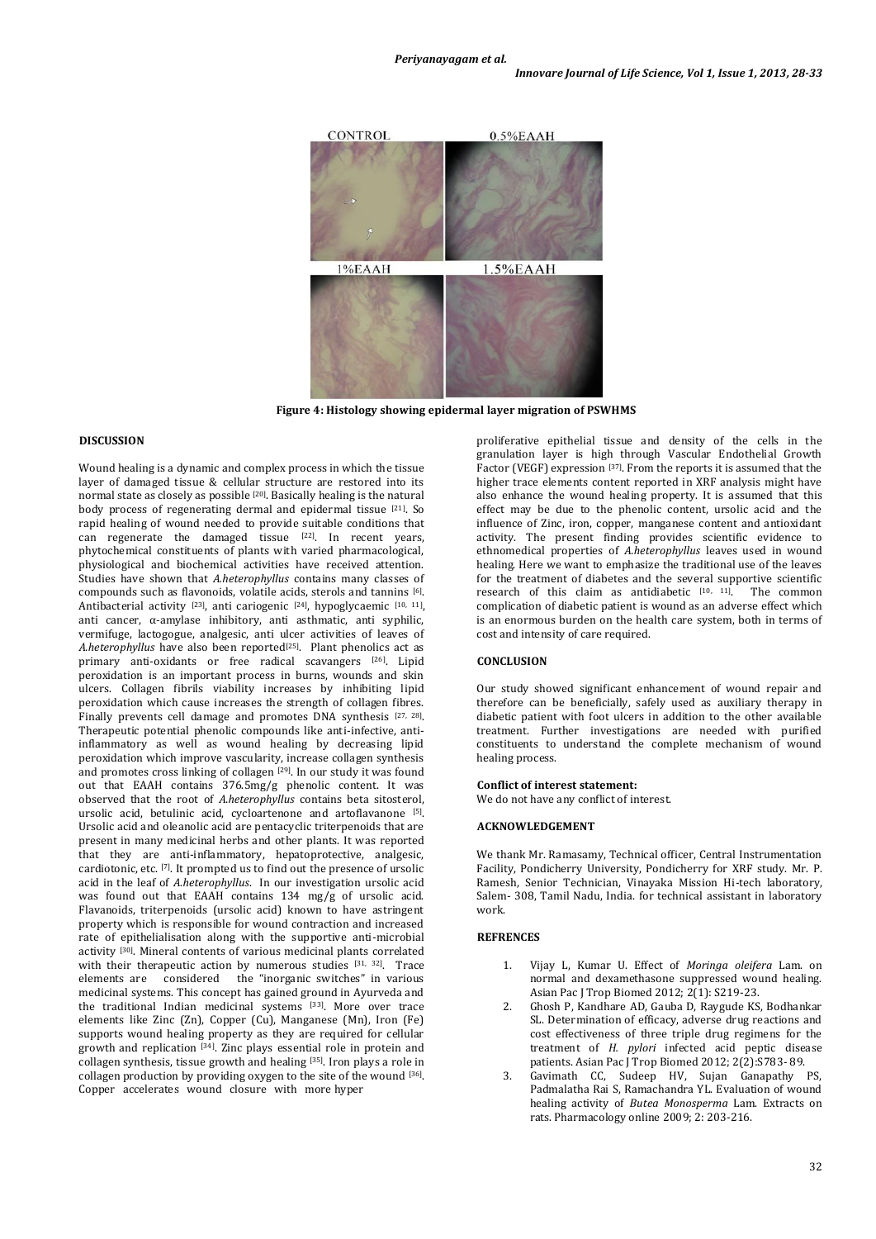

**Figure 4: Histology showing epidermal layer migration of PSWHMS**

## **DISCUSSION**

Wound healing is a dynamic and complex process in which the tissue layer of damaged tissue & cellular structure are restored into its normal state as closely as possible [20]. Basically healing is the natural body process of regenerating dermal and epidermal tissue  $[21]$ . So rapid healing of wound needed to provide suitable conditions that can regenerate the damaged tissue  $[22]$ . In recent years, phytochemical constituents of plants with varied pharmacological, physiological and biochemical activities have received attention. Studies have shown that *A.heterophyllus* contains many classes of compounds such as flavonoids, volatile acids, sterols and tannins [6] . Antibacterial activity [23], anti cariogenic [24], hypoglycaemic [10, 11], anti cancer, α-amylase inhibitory, anti asthmatic, anti syphilic, vermifuge, lactogogue, analgesic, anti ulcer activities of leaves of *A.heterophyllus* have also been reported<sup>[25]</sup>. Plant phenolics act as primary anti-oxidants or free radical scavangers [26]. Lipid peroxidation is an important process in burns, wounds and skin ulcers. Collagen fibrils viability increases by inhibiting lipid peroxidation which cause increases the strength of collagen fibres. Finally prevents cell damage and promotes DNA synthesis [27, 28]. Therapeutic potential phenolic compounds like anti-infective, antiinflammatory as well as wound healing by decreasing lipid peroxidation which improve vascularity, increase collagen synthesis and promotes cross linking of collagen [29]. In our study it was found out that EAAH contains 376.5mg/g phenolic content. It was observed that the root of *A.heterophyllus* contains beta sitosterol, ursolic acid, betulinic acid, cycloartenone and artoflavanone [5] . Ursolic acid and oleanolic acid are pentacyclic triterpenoids that are present in many medicinal herbs and other plants. It was reported that they are anti-inflammatory, hepatoprotective, analgesic, cardiotonic, etc. [7] . It prompted us to find out the presence of ursolic acid in the leaf of *A.heterophyllus*. In our investigation ursolic acid was found out that EAAH contains 134 mg/g of ursolic acid. Flavanoids, triterpenoids (ursolic acid) known to have astringent property which is responsible for wound contraction and increased rate of epithelialisation along with the supportive anti-microbial activity [30]. Mineral contents of various medicinal plants correlated with their therapeutic action by numerous studies [31, 32]. Trace elements are considered the "inorganic switches" in various medicinal systems. This concept has gained ground in Ayurveda and the traditional Indian medicinal systems [33]. More over trace elements like Zinc (Zn), Copper (Cu), Manganese (Mn), Iron (Fe) supports wound healing property as they are required for cellular growth and replication [34]. Zinc plays essential role in protein and collagen synthesis, tissue growth and healing [35]. Iron plays a role in collagen production by providing oxygen to the site of the wound [36] . Copper accelerates wound closure with more hyper

proliferative epithelial tissue and density of the cells in the granulation layer is high through Vascular Endothelial Growth Factor (VEGF) expression [37]. From the reports it is assumed that the higher trace elements content reported in XRF analysis might have also enhance the wound healing property. It is assumed that this effect may be due to the phenolic content, ursolic acid and the influence of Zinc, iron, copper, manganese content and antioxidant activity. The present finding provides scientific evidence to ethnomedical properties of *A.heterophyllus* leaves used in wound healing. Here we want to emphasize the traditional use of the leaves for the treatment of diabetes and the several supportive scientific research of this claim as antidiabetic [10, 11]. The common complication of diabetic patient is wound as an adverse effect which is an enormous burden on the health care system, both in terms of cost and intensity of care required.

## **CONCLUSION**

Our study showed significant enhancement of wound repair and therefore can be beneficially, safely used as auxiliary therapy in diabetic patient with foot ulcers in addition to the other available treatment. Further investigations are needed with purified constituents to understand the complete mechanism of wound healing process.

#### **Conflict of interest statement:**

We do not have any conflict of interest.

#### **ACKNOWLEDGEMENT**

We thank Mr. Ramasamy, Technical officer, Central Instrumentation Facility, Pondicherry University, Pondicherry for XRF study. Mr. P. Ramesh, Senior Technician, Vinayaka Mission Hi-tech laboratory, Salem- 308, Tamil Nadu, India. for technical assistant in laboratory work.

#### **REFRENCES**

- 1. Vijay L, Kumar U. Effect of *Moringa oleifera* Lam. on normal and dexamethasone suppressed wound healing. Asian Pac J Trop Biomed 2012; 2(1): S219-23.
- 2. Ghosh P, Kandhare AD, Gauba D, Raygude KS, Bodhankar SL. Determination of efficacy, adverse drug reactions and cost effectiveness of three triple drug regimens for the treatment of *H. pylori* infected acid peptic disease patients. Asian Pac J Trop Biomed 2012; 2(2):S783- 89.
- 3. Gavimath CC, Sudeep HV, Sujan Ganapathy PS, Padmalatha Rai S, Ramachandra YL. Evaluation of wound healing activity of *Butea Monosperma* Lam. Extracts on rats. Pharmacology online 2009; 2: 203-216.